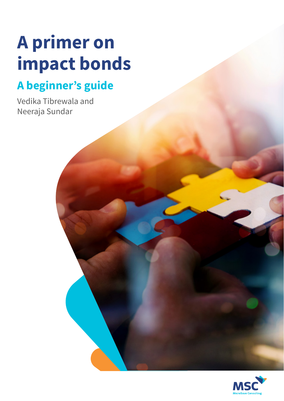# **A primer on impact bonds**

# **A beginner's guide**

Vedika Tibrewala and Neeraja Sundar

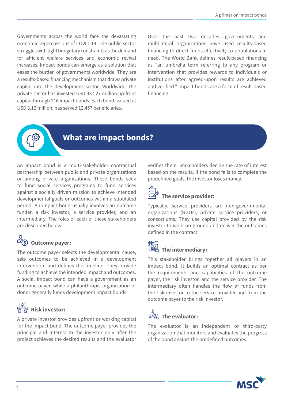Governments across the world face the devastating economic repercussions of COVID-19. The public sector struggles with tight budgetary constraints as the demand for efficient welfare services and economic revival increases. Impact bonds can emerge as a solution that eases the burden of governments worldwide. They are a results-based financing mechanism that draws private capital into the development sector. Worldwide, the private sector has invested USD 437.27 million up-front capital through 216 impact bonds. Each bond, valued at USD 3.12 million, has served 12,457 beneficiaries.

Over the past two decades, governments and multilateral organizations have used results-based financing to direct funds effectively to populations in need. The World Bank defines result-based financing as "an umbrella term referring to any program or intervention that provides rewards to individuals or institutions after agreed-upon results are achieved and verified." Impact bonds are a form of result-based financing.

### **What are impact bonds?**

An impact bond is a multi-stakeholder contractual partnership between public and private organizations or among private organizations. These bonds seek to fund social services programs to fund services against a socially driven mission to achieve intended developmental goals or outcomes within a stipulated period. An impact bond usually involves an outcome funder, a risk investor, a service provider, and an intermediary. The roles of each of these stakeholders are described below:

# **Outcome payer:**

The outcome payer selects the developmental cause, sets outcomes to be achieved in a development intervention, and defines the timeline. They provide funding to achieve the intended impact and outcomes. A social impact bond can have a government as an outcome payer, while a philanthropic organization or donor generally funds development impact bonds.

# *D* Risk investor:

A private investor provides upfront or working capital for the impact bond. The outcome payer provides the principal and interest to the investor only after the project achieves the desired results and the evaluator verifies them. Stakeholders decide the rate of interest based on the results. If the bond fails to complete the predefined goals, the investor loses money.

## **The service provider:**

Typically, service providers are non-governmental organizations (NGOs), private service providers, or consortiums. They use capital provided by the risk investor to work on-ground and deliver the outcomes defined in the contract.

#### **The intermediary:**

This stakeholder brings together all players in an impact bond. It builds an optimal contract as per the requirements and capabilities of the outcome payer, the risk investor, and the service provider. The intermediary often handles the flow of funds from the risk investor to the service provider and from the outcome payer to the risk investor.

# <sup>裳</sup>字。The evaluator:

The evaluator is an independent or third-party organization that monitors and evaluates the progress of the bond against the predefined outcomes.

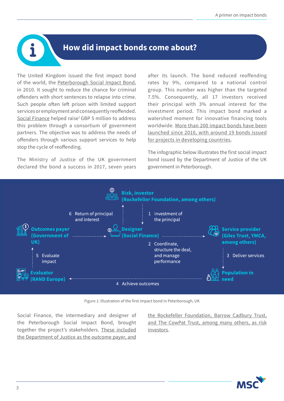#### **How did impact bonds come about?**

The United Kingdom issued the first impact bond of the world, the [Peterborough Social Impact Bond,](about:blank) in 2010. It sought to reduce the chance for criminal offenders with short sentences to relapse into crime. Such people often left prison with limited support services or employment and consequently reoffended. [Social Finance](about:blank) helped raise<sup>1</sup> GBP 5 million to address this problem through a consortium of government partners. The objective was to address the needs of offenders through various support services to help stop the cycle of reoffending.

The Ministry of Justice of the UK government declared the bond a success in 2017, seven years after its launch. The bond reduced reoffending rates by 9%, compared to a national control group. This number was higher than the targeted 7.5%. Consequently, all 17 investors received their principal with 3% annual interest for the investment period. This impact bond marked a watershed moment for innovative financing tools worldwide. [More than 200 impact bonds have been](https://www.brookings.edu/research/social-and-development-impact-bonds-by-the-numbers/) [launched since 2010, with around 19 bonds issued](https://www.brookings.edu/research/social-and-development-impact-bonds-by-the-numbers/) [for projects in developing countries.](https://www.brookings.edu/research/social-and-development-impact-bonds-by-the-numbers/)

The infographic below illustrates the first social impact bond issued by the Department of Justice of the UK government in Peterborough.



Figure 1: Illustration of the first impact bond in Peterborough, UK

Social Finance, the intermediary and designer of the Peterborough Social Impact Bond, brought together the project's stakeholders. [These included](https://www.civilsociety.co.uk/news/peterborough-social-impact-bond-investors-repaid-in-full.html) [the Department of Justice as the outcome payer, and](https://www.civilsociety.co.uk/news/peterborough-social-impact-bond-investors-repaid-in-full.html)

[the Rockefeller Foundation, Barrow Cadbury Trust,](https://www.civilsociety.co.uk/news/peterborough-social-impact-bond-investors-repaid-in-full.html) [and The CowPat Trust, among many others, as risk](https://www.civilsociety.co.uk/news/peterborough-social-impact-bond-investors-repaid-in-full.html) [investors](https://www.civilsociety.co.uk/news/peterborough-social-impact-bond-investors-repaid-in-full.html).

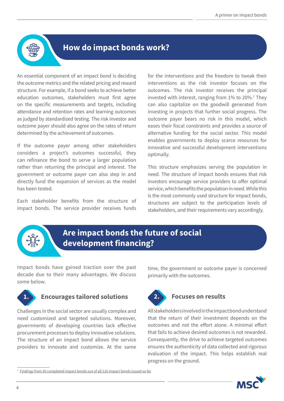

#### **How do impact bonds work?**

An essential component of an impact bond is deciding the outcome metrics and the related pricing and reward structure. For example, if a bond seeks to achieve better education outcomes, stakeholders must first agree on the specific measurements and targets, including attendance and retention rates and learning outcomes as judged by standardized testing. The risk investor and outcome payer should also agree on the rates of return determined by the achievement of outcomes.

If the outcome payer among other stakeholders considers a project's outcomes successful, they can refinance the bond to serve a larger population rather than returning the principal and interest. The government or outcome payer can also step in and directly fund the expansion of services as the model has been tested.

Each stakeholder benefits from the structure of impact bonds. The service provider receives funds

for the interventions and the freedom to tweak their interventions as the risk investor focuses on the outcomes. The risk investor receives the principal invested with interest, ranging from 1% to 20%.<sup>1</sup> They can also capitalize on the goodwill generated from investing in projects that further social progress. The outcome payer bears no risk in this model, which eases their fiscal constraints and provides a source of alternative funding for the social sector. This model enables governments to deploy scarce resources for innovative and successful development interventions optimally.

This structure emphasizes serving the population in need. The structure of impact bonds ensures that risk investors encourage service providers to offer optimal service, which benefits the population in need. While this is the most commonly used structure for impact bonds, structures are subject to the participation levels of stakeholders, and their requirements vary accordingly.



### **Are impact bonds the future of social development financing?**

Impact bonds have gained traction over the past decade due to their many advantages. We discuss some below.



#### **1. Encourages tailored solutions**

Challenges in the social sector are usually complex and need customized and targeted solutions. Moreover, governments of developing countries lack effective procurement processes to deploy innovative solutions. The structure of an impact bond allows the service providers to innovate and customize. At the same

time, the government or outcome payer is concerned primarily with the outcomes.



#### **2. Focuses on results**

All stakeholders involved in the impact bond understand that the return of their investment depends on the outcomes and not the effort alone. A minimal effort that fails to achieve desired outcomes is not rewarded. Consequently, the drive to achieve targeted outcomes ensures the authenticity of data collected and rigorous evaluation of the impact. This helps establish real progress on the ground.

<sup>&</sup>lt;sup>1</sup> [Findings from 50 completed impact bonds out of all 216 impact bonds issued so far](https://www.brookings.edu/research/are-impact-bonds-delivering-outcomes-and-paying-out-returns/)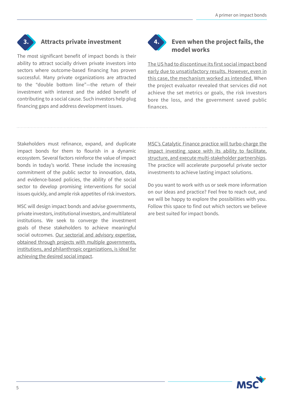

#### **3. Attracts private investment**

The most significant benefit of impact bonds is their ability to attract socially driven private investors into sectors where outcome-based financing has proven successful. Many private organizations are attracted to the "double bottom line"—the return of their investment with interest and the added benefit of contributing to a social cause. Such investors help plug financing gaps and address development issues.



#### **4. Even when the project fails, the model works**

[The US had to discontinue its first social impact bond](https://www.frbsf.org/community-development/files/rikers-island-first-social-impact-bond-united-states.pdf) [early due to unsatisfactory results. However, even in](https://www.frbsf.org/community-development/files/rikers-island-first-social-impact-bond-united-states.pdf) [this case, the mechanism worked as intended.](https://www.frbsf.org/community-development/files/rikers-island-first-social-impact-bond-united-states.pdf) When the project evaluator revealed that services did not achieve the set metrics or goals, the risk investors bore the loss, and the government saved public finances.

Stakeholders must refinance, expand, and duplicate impact bonds for them to flourish in a dynamic ecosystem. Several factors reinforce the value of impact bonds in today's world. These include the increasing commitment of the public sector to innovation, data, and evidence-based policies, the ability of the social sector to develop promising interventions for social issues quickly, and ample risk appetites of risk investors.

MSC will design impact bonds and advise governments, private investors, institutional investors, and multilateral institutions. We seek to converge the investment goals of these stakeholders to achieve meaningful social outcomes. [Our sectorial and advisory expertise,](https://www.microsave.net/wp-content/uploads/2021/07/210712_Corporate-Brochure.pdf) [obtained through projects with multiple governments,](https://www.microsave.net/wp-content/uploads/2021/07/210712_Corporate-Brochure.pdf) [institutions, and philanthropic organizations, is ideal for](https://www.microsave.net/wp-content/uploads/2021/07/210712_Corporate-Brochure.pdf) [achieving the desired social impact](https://www.microsave.net/wp-content/uploads/2021/07/210712_Corporate-Brochure.pdf).

[MSC's Catalytic Finance practice will turbo-charge the](https://www.microsave.net/expertise/catalytic-finance-practice/) [impact investing space with its ability to facilitate,](https://www.microsave.net/expertise/catalytic-finance-practice/) [structure, and execute multi-stakeholder partnerships.](https://www.microsave.net/expertise/catalytic-finance-practice/) The practice will accelerate purposeful private sector investments to achieve lasting impact solutions.

Do you want to work with us or seek more information on our ideas and practice? Feel free to reach out, and we will be happy to explore the possibilities with you. Follow this space to find out which sectors we believe are best suited for impact bonds.